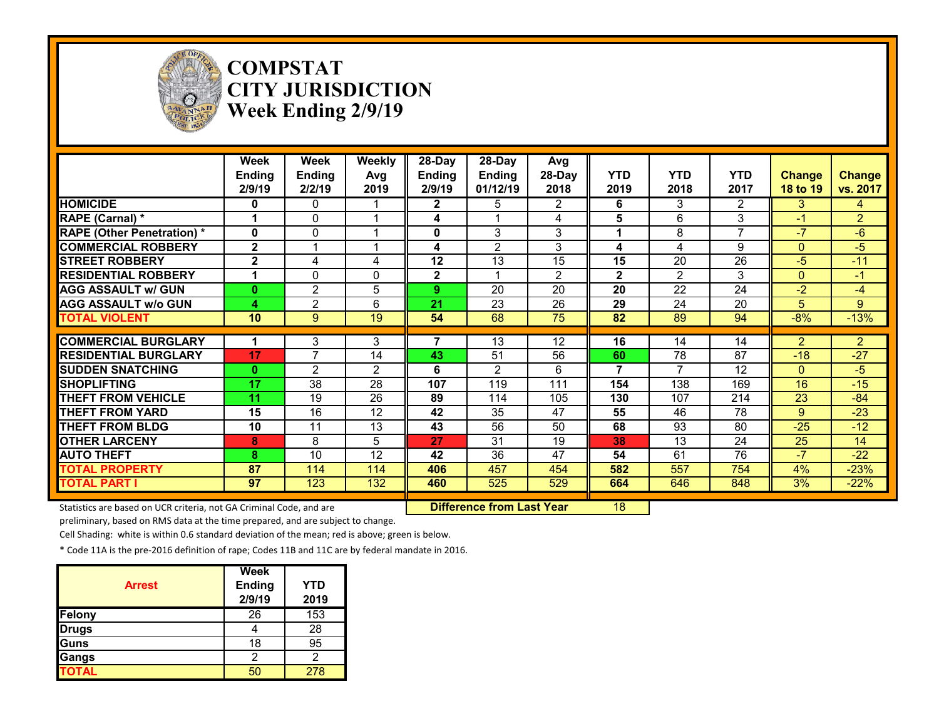

**COMPSTAT CITY JURISDICTION Week Ending 2/9/19**

|                                  | Week<br>Ending<br>2/9/19 | Week<br><b>Ending</b><br>2/2/19 | Weekly<br>Avg<br>2019 | $28-Day$<br>Ending<br>2/9/19 | $28-Day$<br><b>Ending</b><br>01/12/19 | Avg<br>28-Day<br>2018 | <b>YTD</b><br>2019 | <b>YTD</b><br>2018 | <b>YTD</b><br>2017 | <b>Change</b><br>18 to 19 | <b>Change</b><br>vs. 2017 |
|----------------------------------|--------------------------|---------------------------------|-----------------------|------------------------------|---------------------------------------|-----------------------|--------------------|--------------------|--------------------|---------------------------|---------------------------|
| <b>HOMICIDE</b>                  | $\mathbf{0}$             | $\Omega$                        |                       | $\mathbf{2}$                 | 5                                     | 2                     | 6                  | 3                  | $\overline{2}$     | 3                         | 4                         |
| RAPE (Carnal) *                  |                          | 0                               | 1                     | 4                            |                                       | 4                     | 5                  | 6                  | 3                  | $-1$                      | $\overline{2}$            |
| <b>RAPE (Other Penetration)*</b> | $\mathbf{0}$             | $\Omega$                        | 1                     | 0                            | 3                                     | 3                     | 1                  | 8                  | $\overline{7}$     | $-7$                      | $-6$                      |
| <b>COMMERCIAL ROBBERY</b>        | $\mathbf{2}$             | 1                               | 1                     | 4                            | 2                                     | 3                     | 4                  | 4                  | 9                  | $\Omega$                  | $-5$                      |
| <b>ISTREET ROBBERY</b>           | $\mathbf{2}$             | 4                               | 4                     | 12                           | 13                                    | 15                    | 15                 | 20                 | 26                 | $-5$                      | $-11$                     |
| <b>RESIDENTIAL ROBBERY</b>       | И                        | $\Omega$                        | $\mathbf{0}$          | $\mathbf{2}$                 | 1                                     | $\overline{2}$        | $\mathbf{2}$       | $\overline{2}$     | 3                  | $\Omega$                  | $-1$                      |
| <b>AGG ASSAULT w/ GUN</b>        | $\mathbf{0}$             | $\overline{2}$                  | 5                     | 9.                           | 20                                    | 20                    | 20                 | 22                 | 24                 | $-2$                      | $-4$                      |
| <b>AGG ASSAULT W/o GUN</b>       | 4                        | $\overline{2}$                  | 6                     | 21                           | 23                                    | 26                    | 29                 | 24                 | 20                 | 5                         | 9                         |
| <b>TOTAL VIOLENT</b>             | 10                       | $\boldsymbol{9}$                | 19                    | 54                           | 68                                    | 75                    | 82                 | 89                 | 94                 | $-8%$                     | $-13%$                    |
|                                  |                          |                                 |                       |                              |                                       |                       |                    |                    |                    |                           |                           |
| <b>COMMERCIAL BURGLARY</b>       |                          | 3<br>7                          | 3                     | 7                            | 13                                    | 12                    | 16                 | 14                 | 14                 | $\overline{2}$            | $\overline{2}$            |
| <b>RESIDENTIAL BURGLARY</b>      | 17                       |                                 | 14                    | 43                           | 51                                    | 56                    | 60                 | 78                 | 87                 | $-18$                     | $-27$                     |
| <b>ISUDDEN SNATCHING</b>         | $\bf{0}$                 | 2                               | $\mathfrak{p}$        | 6                            | $\overline{2}$                        | 6                     | 7                  | 7                  | 12                 | $\Omega$                  | $-5$                      |
| <b>SHOPLIFTING</b>               | 17                       | $\overline{38}$                 | 28                    | 107                          | 119                                   | 111                   | 154                | 138                | 169                | 16                        | $-15$                     |
| <b>THEFT FROM VEHICLE</b>        | 11                       | 19                              | 26                    | 89                           | 114                                   | 105                   | 130                | 107                | 214                | 23                        | $-84$                     |
| <b>THEFT FROM YARD</b>           | 15                       | 16                              | 12                    | 42                           | 35                                    | 47                    | 55                 | 46                 | 78                 | 9                         | $-23$                     |
| <b>THEFT FROM BLDG</b>           | 10                       | 11                              | 13                    | 43                           | 56                                    | 50                    | 68                 | 93                 | 80                 | $-25$                     | $-12$                     |
| <b>OTHER LARCENY</b>             | 8                        | 8                               | 5                     | 27                           | 31                                    | 19                    | 38                 | 13                 | 24                 | 25                        | 14                        |
| <b>AUTO THEFT</b>                | 8                        | 10                              | 12                    | 42                           | 36                                    | 47                    | 54                 | 61                 | 76                 | $-7$                      | $-22$                     |
| <b>TOTAL PROPERTY</b>            | 87                       | 114                             | 114                   | 406                          | 457                                   | 454                   | 582                | 557                | 754                | 4%                        | $-23%$                    |
| <b>TOTAL PART I</b>              | 97                       | 123                             | 132                   | 460                          | 525                                   | 529                   | 664                | 646                | 848                | 3%                        | $-22%$                    |

Statistics are based on UCR criteria, not GA Criminal Code, and are **Difference from Last Year** 18

preliminary, based on RMS data at the time prepared, and are subject to change.

Cell Shading: white is within 0.6 standard deviation of the mean; red is above; green is below.

| <b>Arrest</b> | <b>Week</b><br><b>Ending</b><br>2/9/19 | YTD<br>2019 |
|---------------|----------------------------------------|-------------|
| Felony        | 26                                     | 153         |
| <b>Drugs</b>  |                                        | 28          |
| Guns          | 18                                     | 95          |
| Gangs         | 2                                      | 2           |
| <b>TOTAL</b>  |                                        | 278         |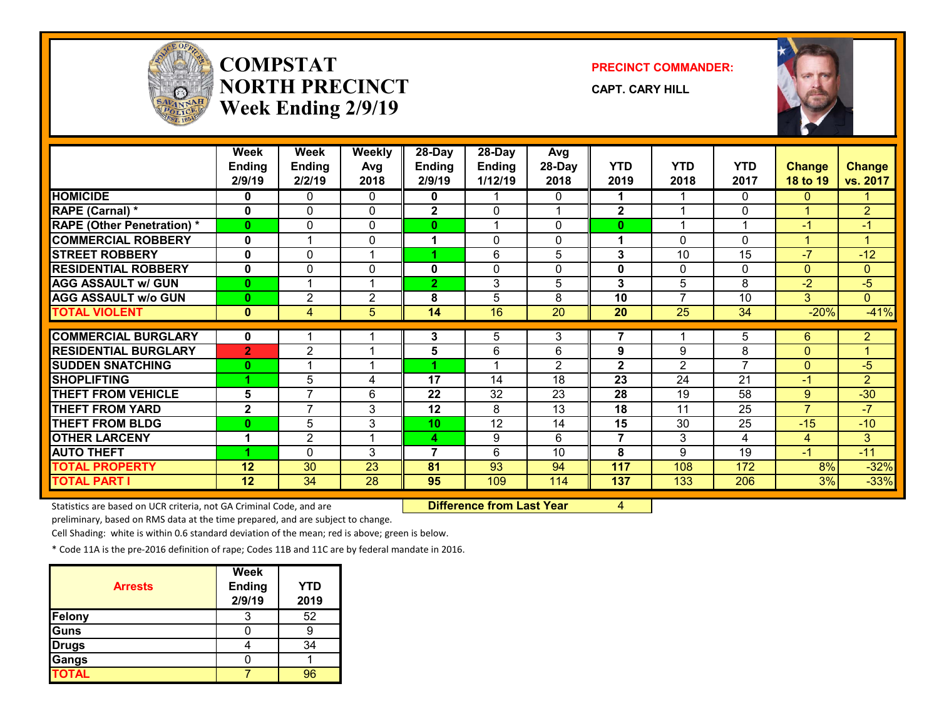

## **COMPSTATNORTH PRECINCTWeek Ending 2/9/19**

**PRECINCT COMMANDER:**

**CAPT. CARY HILL**



|                                   | <b>Week</b><br><b>Ending</b><br>2/9/19 | Week<br><b>Ending</b><br>2/2/19 | Weekly<br>Avg<br>2018   | 28-Day<br><b>Ending</b><br>2/9/19 | 28-Day<br><b>Ending</b><br>1/12/19 | Avg<br>28-Day<br>2018 | <b>YTD</b><br>2019       | <b>YTD</b><br>2018 | <b>YTD</b><br>2017 | <b>Change</b><br>18 to 19 | <b>Change</b><br>vs. 2017 |
|-----------------------------------|----------------------------------------|---------------------------------|-------------------------|-----------------------------------|------------------------------------|-----------------------|--------------------------|--------------------|--------------------|---------------------------|---------------------------|
| <b>HOMICIDE</b>                   | 0                                      | 0                               | 0                       | 0                                 |                                    | 0                     | 1                        |                    | $\Omega$           | 0                         |                           |
| <b>RAPE (Carnal) *</b>            | 0                                      | 0                               | 0                       | $\mathbf{2}$                      | $\Omega$                           |                       | $\mathbf{2}$             | 4                  | 0                  | 1                         | $\overline{2}$            |
| <b>RAPE (Other Penetration) *</b> | $\bf{0}$                               | 0                               | 0                       | 0                                 |                                    | 0                     | 0                        |                    | 1                  | -1                        | $-1$                      |
| <b>COMMERCIAL ROBBERY</b>         | $\mathbf{0}$                           | 1                               | $\mathbf{0}$            | 1                                 | $\Omega$                           | 0                     | 1                        | 0                  | 0                  | 4                         | 1                         |
| <b>STREET ROBBERY</b>             | $\mathbf{0}$                           | 0                               | 1                       |                                   | 6                                  | 5                     | 3                        | 10                 | 15                 | $-7$                      | $-12$                     |
| <b>RESIDENTIAL ROBBERY</b>        | $\mathbf{0}$                           | 0                               | $\mathbf{0}$            | 0                                 | $\mathbf{0}$                       | 0                     | 0                        | 0                  | $\mathbf{0}$       | $\mathbf{0}$              | $\mathbf{0}$              |
| <b>AGG ASSAULT w/ GUN</b>         | $\mathbf{0}$                           | 1                               | 1                       | $\overline{2}$                    | 3                                  | 5                     | 3                        | 5                  | 8                  | $-2$                      | $-5$                      |
| <b>AGG ASSAULT w/o GUN</b>        | $\bf{0}$                               | $\overline{2}$                  | $\overline{2}$          | 8                                 | 5                                  | 8                     | 10                       | $\overline{7}$     | 10                 | 3 <sup>1</sup>            | $\mathbf{0}$              |
| <b>TOTAL VIOLENT</b>              | $\mathbf{0}$                           | 4                               | 5                       | 14                                | 16                                 | 20                    | 20                       | 25                 | 34                 | $-20%$                    | $-41%$                    |
|                                   |                                        |                                 |                         |                                   |                                    |                       |                          |                    |                    |                           |                           |
| <b>COMMERCIAL BURGLARY</b>        | $\mathbf{0}$                           |                                 |                         | 3                                 | 5                                  | 3                     | $\overline{\phantom{a}}$ |                    | 5                  | 6                         | $\overline{2}$            |
| <b>RESIDENTIAL BURGLARY</b>       | $\overline{2}$                         | $\overline{c}$                  |                         | 5                                 | 6                                  | 6                     | 9                        | 9                  | 8                  | $\Omega$                  |                           |
| <b>SUDDEN SNATCHING</b>           | $\bf{0}$                               | $\overline{A}$                  | $\overline{\mathbf{A}}$ |                                   | 4                                  | $\overline{2}$        | $\mathbf{2}$             | $\overline{2}$     | $\overline{7}$     | $\Omega$                  | $-5$                      |
| <b>SHOPLIFTING</b>                |                                        | 5                               | 4                       | 17                                | 14                                 | 18                    | 23                       | 24                 | 21                 | $-1$                      | $\overline{2}$            |
| <b>THEFT FROM VEHICLE</b>         | 5                                      | $\overline{7}$                  | 6                       | 22                                | 32                                 | 23                    | 28                       | 19                 | 58                 | 9                         | $-30$                     |
| <b>THEFT FROM YARD</b>            | $\mathbf{2}$                           | $\overline{7}$                  | 3                       | 12                                | 8                                  | $\overline{13}$       | 18                       | 11                 | $\overline{25}$    | $\overline{7}$            | $-7$                      |
| <b>THEFT FROM BLDG</b>            | $\mathbf{0}$                           | 5                               | 3                       | 10                                | 12                                 | 14                    | 15                       | 30                 | 25                 | $-15$                     | $-10$                     |
| <b>OTHER LARCENY</b>              | 1                                      | $\overline{2}$                  |                         | 4                                 | 9                                  | 6                     | $\overline{7}$           | 3                  | 4                  | 4                         | 3                         |
| <b>AUTO THEFT</b>                 |                                        | $\Omega$                        | 3                       | 7                                 | 6                                  | 10                    | 8                        | 9                  | 19                 | $-1$                      | $-11$                     |
| <b>TOTAL PROPERTY</b>             | 12                                     | 30                              | 23                      | 81                                | 93                                 | 94                    | 117                      | 108                | 172                | 8%                        | $-32%$                    |
| <b>TOTAL PART I</b>               | 12                                     | 34                              | 28                      | 95                                | 109                                | 114                   | 137                      | 133                | 206                | 3%                        | $-33%$                    |

Statistics are based on UCR criteria, not GA Criminal Code, and are **Difference from Last Year** 4

preliminary, based on RMS data at the time prepared, and are subject to change.

Cell Shading: white is within 0.6 standard deviation of the mean; red is above; green is below.

| <b>Arrests</b> | <b>Week</b><br><b>Ending</b><br>2/9/19 | YTD<br>2019 |
|----------------|----------------------------------------|-------------|
| <b>Felony</b>  |                                        | 52          |
| <b>Guns</b>    |                                        |             |
| <b>Drugs</b>   |                                        | 34          |
| Gangs          |                                        |             |
| <b>TOTAL</b>   |                                        | 96          |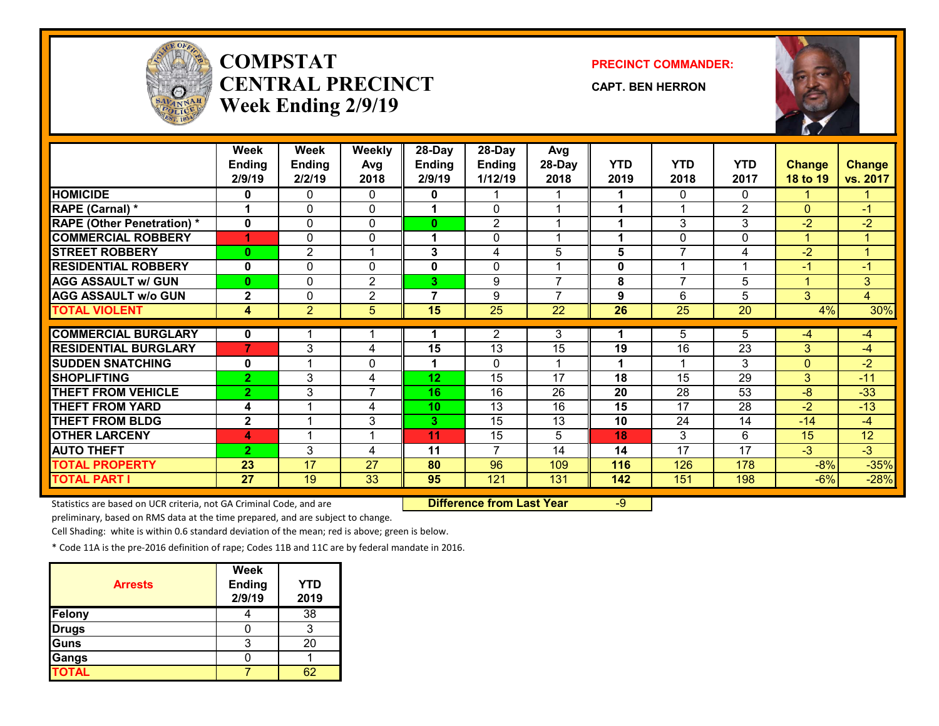

# **COMPSTATCENTRAL PRECINCTWeek Ending 2/9/19**

**PRECINCT COMMANDER:**

**CAPT. BEN HERRON**



|                                   | Week<br><b>Ending</b><br>2/9/19 | Week<br><b>Ending</b><br>2/2/19 | <b>Weekly</b><br>Avg<br>2018 | 28-Day<br><b>Ending</b><br>2/9/19 | 28-Day<br><b>Ending</b><br>1/12/19 | Avg<br>28-Day<br>2018 | <b>YTD</b><br>2019 | <b>YTD</b><br>2018 | <b>YTD</b><br>2017 | <b>Change</b><br>18 to 19 | <b>Change</b><br>vs. 2017 |
|-----------------------------------|---------------------------------|---------------------------------|------------------------------|-----------------------------------|------------------------------------|-----------------------|--------------------|--------------------|--------------------|---------------------------|---------------------------|
| <b>HOMICIDE</b>                   | 0                               | 0                               | 0                            | 0                                 |                                    |                       | 1                  | 0                  | 0                  |                           |                           |
| RAPE (Carnal) *                   | 1                               | $\Omega$                        | $\Omega$                     | 1                                 | $\Omega$                           | 1                     | 1                  | -4                 | 2                  | $\Omega$                  | $-1$                      |
| <b>RAPE (Other Penetration) *</b> | $\mathbf{0}$                    | 0                               | $\mathbf{0}$                 | 0                                 | 2                                  |                       | 1                  | 3                  | 3                  | $-2$                      | $-2$                      |
| <b>COMMERCIAL ROBBERY</b>         | 1                               | 0                               | 0                            | 1                                 | $\Omega$                           | 4                     | 1                  | 0                  | $\mathbf{0}$       | 1                         | 1                         |
| <b>STREET ROBBERY</b>             | $\mathbf{0}$                    | $\overline{2}$                  |                              | 3                                 | 4                                  | 5                     | 5                  | $\overline{7}$     | 4                  | $-2$                      | 4                         |
| <b>RESIDENTIAL ROBBERY</b>        | $\mathbf{0}$                    | 0                               | $\mathbf{0}$                 | 0                                 | $\Omega$                           | 4                     | 0                  | 4                  | 1                  | $-1$                      | $-1$                      |
| <b>AGG ASSAULT w/ GUN</b>         | $\mathbf{0}$                    | 0                               | 2                            | 3                                 | 9                                  | $\overline{7}$        | 8                  | $\overline{7}$     | 5                  | 4                         | 3                         |
| <b>AGG ASSAULT w/o GUN</b>        | $\mathbf{2}$                    | $\Omega$                        | $\overline{2}$               | $\overline{7}$                    | 9                                  | $\overline{7}$        | 9                  | 6                  | 5                  | 3                         | 4                         |
| <b>TOTAL VIOLENT</b>              | 4                               | $\overline{2}$                  | 5                            | 15                                | $\overline{25}$                    | 22                    | 26                 | 25                 | 20                 | 4%                        | 30%                       |
|                                   |                                 |                                 |                              |                                   |                                    |                       |                    |                    |                    |                           |                           |
| <b>COMMERCIAL BURGLARY</b>        | 0                               |                                 |                              |                                   | 2                                  | 3                     | 1                  | 5                  | 5                  | $-4$                      | $-4$                      |
| <b>RESIDENTIAL BURGLARY</b>       | $\overline{7}$                  | 3                               | 4                            | 15                                | 13                                 | 15                    | 19                 | 16                 | 23                 | 3                         | $-4$                      |
| <b>SUDDEN SNATCHING</b>           | $\mathbf{0}$                    |                                 | $\mathbf{0}$                 |                                   | $\Omega$                           |                       | 1                  |                    | 3                  | $\Omega$                  | $-2$                      |
| <b>SHOPLIFTING</b>                | $\overline{2}$                  | 3                               | 4                            | 12                                | $\overline{15}$                    | $\overline{17}$       | 18                 | 15                 | 29                 | 3                         | $-11$                     |
| <b>THEFT FROM VEHICLE</b>         | $\overline{2}$                  | 3                               | $\overline{7}$               | 16                                | 16                                 | 26                    | 20                 | 28                 | 53                 | $-8$                      | $-33$                     |
| <b>THEFT FROM YARD</b>            | 4                               |                                 | 4                            | 10 <sup>1</sup>                   | $\overline{13}$                    | 16                    | 15                 | 17                 | $\overline{28}$    | $-2$                      | $-13$                     |
| <b>THEFT FROM BLDG</b>            | $\mathbf{2}$                    |                                 | 3                            | 3                                 | 15                                 | 13                    | 10                 | 24                 | 14                 | $-14$                     | $-4$                      |
| <b>OTHER LARCENY</b>              | 4                               |                                 |                              | 11                                | 15                                 | 5                     | 18                 | 3                  | 6                  | 15                        | 12                        |
| <b>AUTO THEFT</b>                 | $\overline{2}$                  | 3                               | 4                            | 11                                | $\overline{7}$                     | 14                    | 14                 | 17                 | 17                 | $-3$                      | $-3$                      |
| <b>TOTAL PROPERTY</b>             | 23                              | 17                              | 27                           | 80                                | 96                                 | 109                   | 116                | 126                | 178                | $-8%$                     | $-35%$                    |
| <b>TOTAL PART I</b>               | 27                              | 19                              | 33                           | 95                                | 121                                | 131                   | 142                | 151                | 198                | $-6%$                     | $-28%$                    |

Statistics are based on UCR criteria, not GA Criminal Code, and are **Difference from Last Year** -9

preliminary, based on RMS data at the time prepared, and are subject to change.

Cell Shading: white is within 0.6 standard deviation of the mean; red is above; green is below.

| <b>Arrests</b> | <b>Week</b><br><b>Ending</b><br>2/9/19 | YTD<br>2019 |
|----------------|----------------------------------------|-------------|
| Felony         |                                        | 38          |
| <b>Drugs</b>   |                                        |             |
| Guns           |                                        | 20          |
| Gangs          |                                        |             |
| <b>TOTAL</b>   |                                        |             |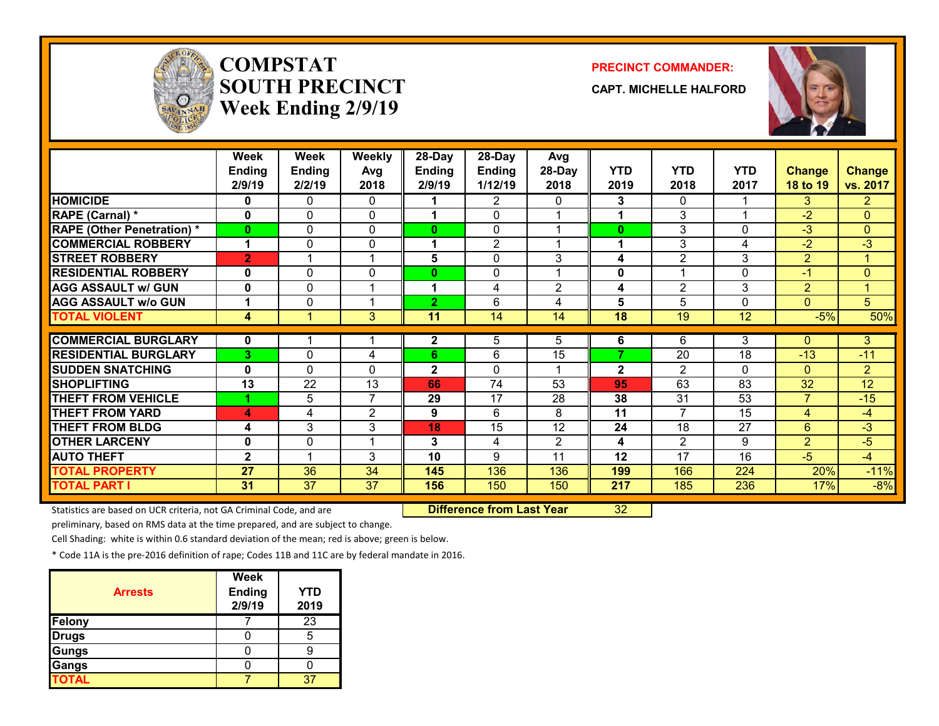

## **COMPSTATSOUTH PRECINCTWeek Ending 2/9/19**

#### **PRECINCT COMMANDER:**

**CAPT. MICHELLE HALFORD**



|                                   | <b>Week</b><br><b>Ending</b><br>2/9/19 | <b>Week</b><br><b>Ending</b><br>2/2/19 | Weekly<br>Avg<br>2018 | 28-Day<br><b>Ending</b><br>2/9/19 | 28-Day<br><b>Ending</b><br>1/12/19 | Avg<br>28-Day<br>2018 | <b>YTD</b><br>2019 | <b>YTD</b><br>2018 | <b>YTD</b><br>2017 | <b>Change</b><br>18 to 19 | <b>Change</b><br>vs. 2017 |
|-----------------------------------|----------------------------------------|----------------------------------------|-----------------------|-----------------------------------|------------------------------------|-----------------------|--------------------|--------------------|--------------------|---------------------------|---------------------------|
| <b>HOMICIDE</b>                   | 0                                      | 0                                      | 0                     |                                   | 2                                  | 0                     | 3                  | 0                  |                    | 3                         | $\overline{2}$            |
| <b>RAPE (Carnal) *</b>            | 0                                      | $\Omega$                               | 0                     |                                   | $\Omega$                           |                       |                    | 3                  |                    | $-2$                      | $\overline{0}$            |
| <b>RAPE (Other Penetration) *</b> | 0                                      | 0                                      | 0                     | 0                                 | $\mathbf{0}$                       |                       | $\bf{0}$           | 3                  | $\Omega$           | $-3$                      | $\overline{0}$            |
| <b>COMMERCIAL ROBBERY</b>         | 1                                      | 0                                      | 0                     |                                   | $\overline{2}$                     |                       | 1                  | 3                  | 4                  | $-2$                      | $-3$                      |
| <b>STREET ROBBERY</b>             | $\overline{2}$                         |                                        | 1                     | 5                                 | 0                                  | 3                     | 4                  | $\overline{2}$     | 3                  | $\overline{2}$            | $\mathbf{1}$              |
| <b>RESIDENTIAL ROBBERY</b>        | $\bf{0}$                               | 0                                      | 0                     | 0                                 | 0                                  |                       | 0                  |                    | 0                  | $-1$                      | $\overline{0}$            |
| <b>AGG ASSAULT w/ GUN</b>         | $\bf{0}$                               | 0                                      | 1                     |                                   | 4                                  | $\overline{2}$        | 4                  | $\overline{2}$     | 3                  | $\overline{2}$            | $\mathbf{1}$              |
| <b>AGG ASSAULT w/o GUN</b>        | 1                                      | 0                                      | 1                     | $\mathbf{2}$                      | 6                                  | 4                     | 5                  | 5                  | $\Omega$           | $\Omega$                  | 5                         |
| <b>TOTAL VIOLENT</b>              | 4                                      |                                        | 3                     | 11                                | 14                                 | 14                    | 18                 | 19                 | 12                 | $-5%$                     | 50%                       |
|                                   |                                        |                                        |                       |                                   |                                    |                       |                    |                    |                    |                           |                           |
| <b>COMMERCIAL BURGLARY</b>        | 0                                      |                                        |                       | 2.                                | 5                                  | 5                     | 6                  | 6                  | 3                  | $\Omega$                  | 3                         |
| <b>RESIDENTIAL BURGLARY</b>       | 3                                      | 0                                      | 4                     | 6                                 | 6                                  | 15                    | ⇁                  | $\overline{20}$    | 18                 | $-13$                     | $-11$                     |
| <b>SUDDEN SNATCHING</b>           | 0                                      | 0                                      | 0                     | $\mathbf 2$                       | $\mathbf{0}$                       |                       | $\mathbf{2}$       | $\overline{2}$     | $\mathbf{0}$       | $\Omega$                  | $\overline{2}$            |
| <b>SHOPLIFTING</b>                | 13                                     | 22                                     | 13                    | 66                                | 74                                 | 53                    | 95                 | 63                 | 83                 | 32                        | 12                        |
| <b>THEFT FROM VEHICLE</b>         |                                        | 5                                      | $\overline{7}$        | 29                                | 17                                 | 28                    | 38                 | 31                 | 53                 |                           | $-15$                     |
| <b>THEFT FROM YARD</b>            | 4                                      | 4                                      | $\mathbf{2}$          | 9                                 | 6                                  | 8                     | 11                 | $\overline{ }$     | 15                 | 4                         | $-4$                      |
| <b>THEFT FROM BLDG</b>            | 4                                      | 3                                      | 3                     | 18                                | 15                                 | $\overline{12}$       | 24                 | 18                 | 27                 | 6                         | -3                        |
| <b>OTHER LARCENY</b>              | 0                                      | 0                                      | 1                     | 3                                 | 4                                  | $\overline{2}$        | 4                  | $\overline{2}$     | 9                  | $\overline{2}$            | $-5$                      |
| <b>AUTO THEFT</b>                 | $\mathbf{2}$                           |                                        | 3                     | 10                                | 9                                  | 11                    | 12                 | 17                 | 16                 | $-5$                      | $-4$                      |
| <b>TOTAL PROPERTY</b>             | 27                                     | 36                                     | 34                    | 145                               | 136                                | 136                   | 199                | 166                | 224                | 20%                       | $-11%$                    |
| <b>TOTAL PART I</b>               | 31                                     | 37                                     | 37                    | 156                               | 150                                | 150                   | 217                | 185                | 236                | 17%                       | $-8%$                     |

Statistics are based on UCR criteria, not GA Criminal Code, and are **Difference from Last Year** 32

preliminary, based on RMS data at the time prepared, and are subject to change.

Cell Shading: white is within 0.6 standard deviation of the mean; red is above; green is below.

| <b>Arrests</b> | <b>Week</b><br><b>Ending</b><br>2/9/19 | <b>YTD</b><br>2019 |
|----------------|----------------------------------------|--------------------|
| Felony         |                                        | $\overline{23}$    |
| <b>Drugs</b>   |                                        | 5                  |
| Gungs          |                                        |                    |
| Gangs          |                                        |                    |
| <b>TOTAL</b>   |                                        |                    |